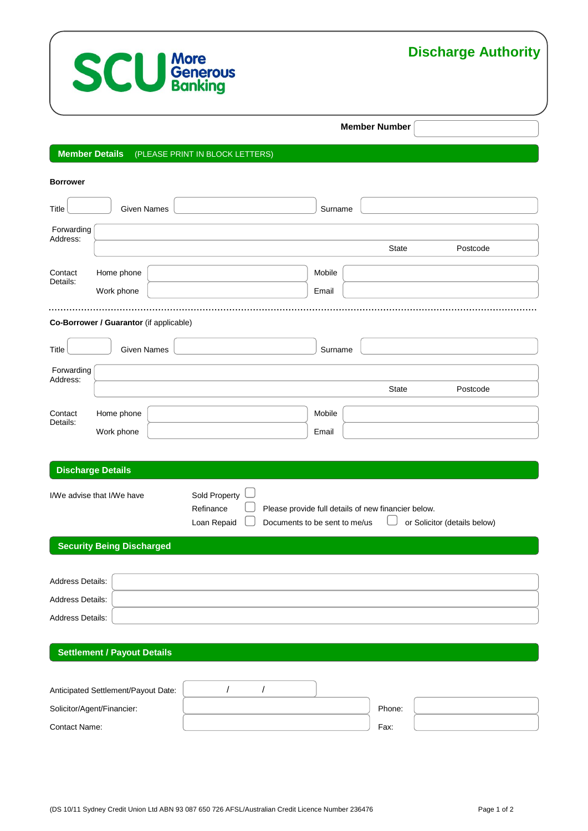

# **Discharge Authority**

### **Member Number**

# **Member Details** (PLEASE PRINT IN BLOCK LETTERS)

| <b>Borrower</b>        |                                         |                                           |                               |         |                                                     |                              |
|------------------------|-----------------------------------------|-------------------------------------------|-------------------------------|---------|-----------------------------------------------------|------------------------------|
| Title                  | <b>Given Names</b>                      |                                           |                               | Surname |                                                     |                              |
| Forwarding<br>Address: |                                         |                                           |                               |         |                                                     |                              |
|                        |                                         |                                           |                               |         | <b>State</b>                                        | Postcode                     |
| Contact<br>Details:    | Home phone                              |                                           |                               | Mobile  |                                                     |                              |
|                        | Work phone                              |                                           |                               | Email   |                                                     |                              |
|                        | Co-Borrower / Guarantor (if applicable) |                                           |                               |         |                                                     |                              |
| <b>Title</b>           | <b>Given Names</b>                      |                                           |                               | Surname |                                                     |                              |
| Forwarding             |                                         |                                           |                               |         |                                                     |                              |
| Address:               |                                         |                                           |                               |         | <b>State</b>                                        | Postcode                     |
| Contact                | Home phone                              |                                           |                               | Mobile  |                                                     |                              |
| Details:               | Work phone                              |                                           |                               | Email   |                                                     |                              |
|                        |                                         |                                           |                               |         |                                                     |                              |
|                        | <b>Discharge Details</b>                |                                           |                               |         |                                                     |                              |
|                        | I/We advise that I/We have              | Sold Property<br>Refinance<br>Loan Repaid | Documents to be sent to me/us |         | Please provide full details of new financier below. | or Solicitor (details below) |
|                        | <b>Security Being Discharged</b>        |                                           |                               |         |                                                     |                              |
|                        |                                         |                                           |                               |         |                                                     |                              |
| Address Details:       |                                         |                                           |                               |         |                                                     |                              |
| Address Details:       |                                         |                                           |                               |         |                                                     |                              |
| Address Details:       |                                         |                                           |                               |         |                                                     |                              |
|                        | <b>Settlement / Payout Details</b>      |                                           |                               |         |                                                     |                              |
|                        | Anticipated Settlement/Payout Date:     | /                                         | $\prime$                      |         |                                                     |                              |

Solicitor/Agent/Financier: **Phone:** Phone: Phone: Phone: Phone: Phone: Phone: Phone: Phone: Phone: Phone: Phone: Phone: Phone: Phone: Phone: Phone: Phone: Phone: Phone: Phone: Phone: Phone: Phone: Phone: Phone: Phone: Phon Contact Name: Fax: